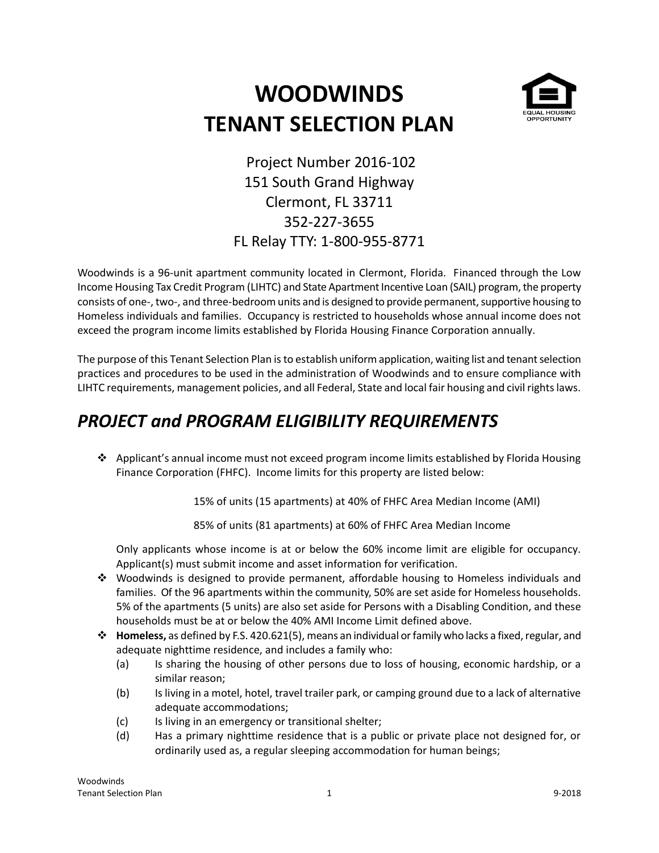# **WOODWINDS TENANT SELECTION PLAN**



Project Number 2016-102 151 South Grand Highway Clermont, FL 33711 352-227-3655 FL Relay TTY: 1-800-955-8771

Woodwinds is a 96-unit apartment community located in Clermont, Florida. Financed through the Low Income Housing Tax Credit Program (LIHTC) and State Apartment Incentive Loan (SAIL) program, the property consists of one-, two-, and three-bedroom units and is designed to provide permanent, supportive housing to Homeless individuals and families. Occupancy is restricted to households whose annual income does not exceed the program income limits established by Florida Housing Finance Corporation annually.

The purpose of this Tenant Selection Plan is to establish uniform application, waiting list and tenant selection practices and procedures to be used in the administration of Woodwinds and to ensure compliance with LIHTC requirements, management policies, and all Federal, State and local fair housing and civil rights laws.

# *PROJECT and PROGRAM ELIGIBILITY REQUIREMENTS*

 $\triangle$  Applicant's annual income must not exceed program income limits established by Florida Housing Finance Corporation (FHFC). Income limits for this property are listed below:

15% of units (15 apartments) at 40% of FHFC Area Median Income (AMI)

85% of units (81 apartments) at 60% of FHFC Area Median Income

Only applicants whose income is at or below the 60% income limit are eligible for occupancy. Applicant(s) must submit income and asset information for verification.

- Woodwinds is designed to provide permanent, affordable housing to Homeless individuals and families. Of the 96 apartments within the community, 50% are set aside for Homeless households. 5% of the apartments (5 units) are also set aside for Persons with a Disabling Condition, and these households must be at or below the 40% AMI Income Limit defined above.
- **Homeless,** as defined by F.S. 420.621(5), means an individual or family who lacks a fixed, regular, and adequate nighttime residence, and includes a family who:
	- (a) Is sharing the housing of other persons due to loss of housing, economic hardship, or a similar reason;
	- (b) Is living in a motel, hotel, travel trailer park, or camping ground due to a lack of alternative adequate accommodations;
	- (c) Is living in an emergency or transitional shelter;
	- (d) Has a primary nighttime residence that is a public or private place not designed for, or ordinarily used as, a regular sleeping accommodation for human beings;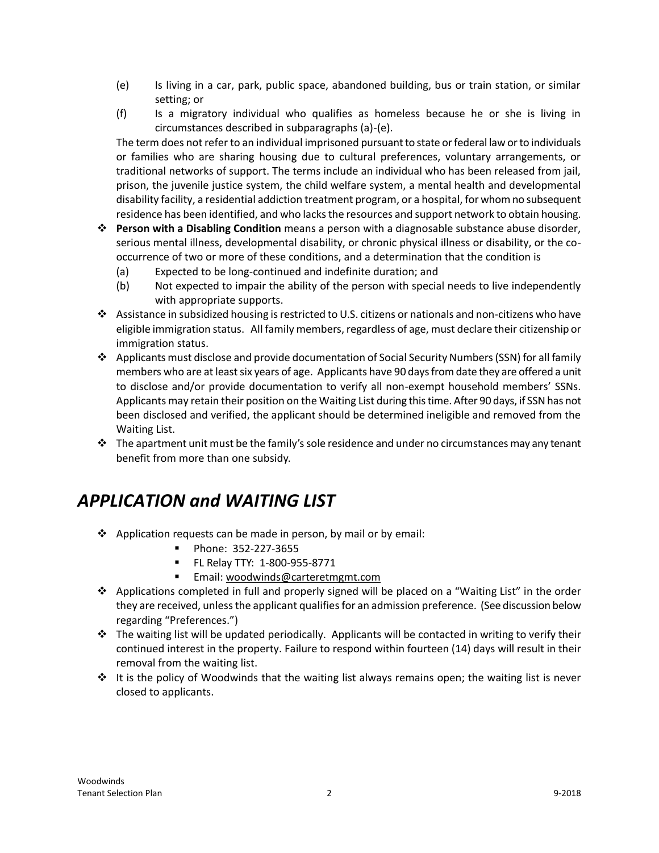- (e) Is living in a car, park, public space, abandoned building, bus or train station, or similar setting; or
- (f) Is a migratory individual who qualifies as homeless because he or she is living in circumstances described in subparagraphs (a)-(e).

The term does not refer to an individual imprisoned pursuant to state or federal law or to individuals or families who are sharing housing due to cultural preferences, voluntary arrangements, or traditional networks of support. The terms include an individual who has been released from jail, prison, the juvenile justice system, the child welfare system, a mental health and developmental disability facility, a residential addiction treatment program, or a hospital, for whom no subsequent residence has been identified, and who lacks the resources and support network to obtain housing.

- **Person with a Disabling Condition** means a person with a diagnosable substance abuse disorder, serious mental illness, developmental disability, or chronic physical illness or disability, or the cooccurrence of two or more of these conditions, and a determination that the condition is
	- (a) Expected to be long-continued and indefinite duration; and
	- (b) Not expected to impair the ability of the person with special needs to live independently with appropriate supports.
- Assistance in subsidized housing is restricted to U.S. citizens or nationals and non-citizens who have eligible immigration status. All family members, regardless of age, must declare their citizenship or immigration status.
- Applicants must disclose and provide documentation of Social Security Numbers (SSN) for all family members who are at least six years of age. Applicants have 90 days from date they are offered a unit to disclose and/or provide documentation to verify all non-exempt household members' SSNs. Applicants may retain their position on the Waiting List during this time. After 90 days, if SSN has not been disclosed and verified, the applicant should be determined ineligible and removed from the Waiting List.
- $\cdot \cdot$  The apartment unit must be the family's sole residence and under no circumstances may any tenant benefit from more than one subsidy.

#### *APPLICATION and WAITING LIST*

- $\triangle$  Application requests can be made in person, by mail or by email:
	- **Phone: 352-227-3655**
	- FL Relay TTY: 1-800-955-8771
	- **Email:** [woodwinds@carteretmgmt.com](mailto:woodwinds@carteretmgmt.com)
- Applications completed in full and properly signed will be placed on a "Waiting List" in the order they are received, unless the applicant qualifies for an admission preference. (See discussion below regarding "Preferences.")
- $\cdot \cdot$  The waiting list will be updated periodically. Applicants will be contacted in writing to verify their continued interest in the property. Failure to respond within fourteen (14) days will result in their removal from the waiting list.
- $\cdot \cdot$  It is the policy of Woodwinds that the waiting list always remains open; the waiting list is never closed to applicants.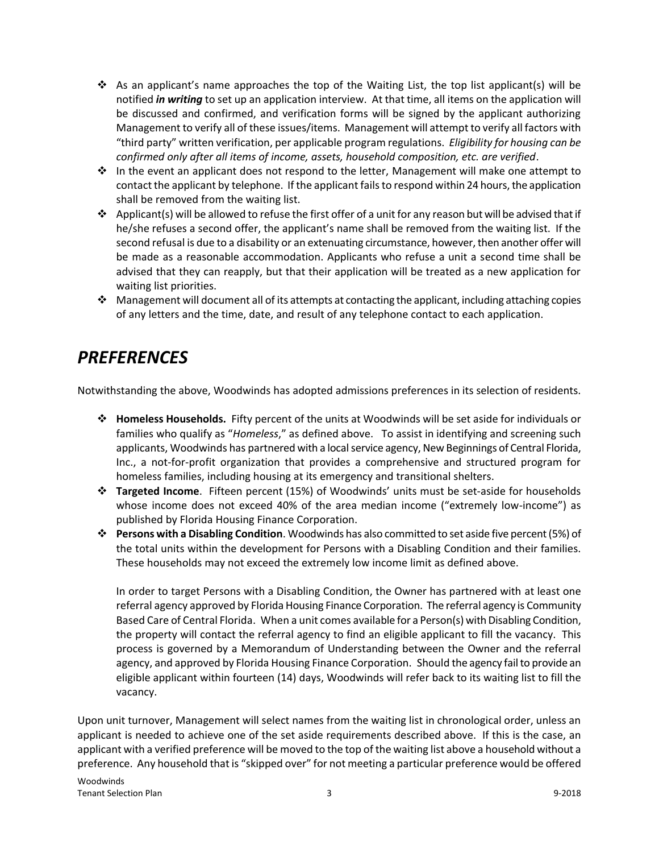- $\clubsuit$  As an applicant's name approaches the top of the Waiting List, the top list applicant(s) will be notified *in writing* to set up an application interview. At that time, all items on the application will be discussed and confirmed, and verification forms will be signed by the applicant authorizing Management to verify all of these issues/items. Management will attempt to verify all factors with "third party" written verification, per applicable program regulations. *Eligibility for housing can be confirmed only after all items of income, assets, household composition, etc. are verified*.
- \* In the event an applicant does not respond to the letter, Management will make one attempt to contact the applicant by telephone. If the applicant fails to respond within 24 hours, the application shall be removed from the waiting list.
- ❖ Applicant(s) will be allowed to refuse the first offer of a unit for any reason but will be advised that if he/she refuses a second offer, the applicant's name shall be removed from the waiting list. If the second refusal is due to a disability or an extenuating circumstance, however, then another offer will be made as a reasonable accommodation. Applicants who refuse a unit a second time shall be advised that they can reapply, but that their application will be treated as a new application for waiting list priorities.
- Management will document all of its attempts at contacting the applicant, including attaching copies of any letters and the time, date, and result of any telephone contact to each application.

#### *PREFERENCES*

Notwithstanding the above, Woodwinds has adopted admissions preferences in its selection of residents.

- **Homeless Households.** Fifty percent of the units at Woodwinds will be set aside for individuals or families who qualify as "*Homeless*," as defined above. To assist in identifying and screening such applicants, Woodwinds has partnered with a local service agency, New Beginnings of Central Florida, Inc., a not-for-profit organization that provides a comprehensive and structured program for homeless families, including housing at its emergency and transitional shelters.
- **Targeted Income**. Fifteen percent (15%) of Woodwinds' units must be set-aside for households whose income does not exceed 40% of the area median income ("extremely low-income") as published by Florida Housing Finance Corporation.
- **Persons with a Disabling Condition**. Woodwinds has also committed to set aside five percent (5%) of the total units within the development for Persons with a Disabling Condition and their families. These households may not exceed the extremely low income limit as defined above.

In order to target Persons with a Disabling Condition, the Owner has partnered with at least one referral agency approved by Florida Housing Finance Corporation. The referral agency is Community Based Care of Central Florida. When a unit comes available for a Person(s) with Disabling Condition, the property will contact the referral agency to find an eligible applicant to fill the vacancy. This process is governed by a Memorandum of Understanding between the Owner and the referral agency, and approved by Florida Housing Finance Corporation. Should the agency fail to provide an eligible applicant within fourteen (14) days, Woodwinds will refer back to its waiting list to fill the vacancy.

Upon unit turnover, Management will select names from the waiting list in chronological order, unless an applicant is needed to achieve one of the set aside requirements described above. If this is the case, an applicant with a verified preference will be moved to the top of the waiting list above a household without a preference. Any household that is "skipped over" for not meeting a particular preference would be offered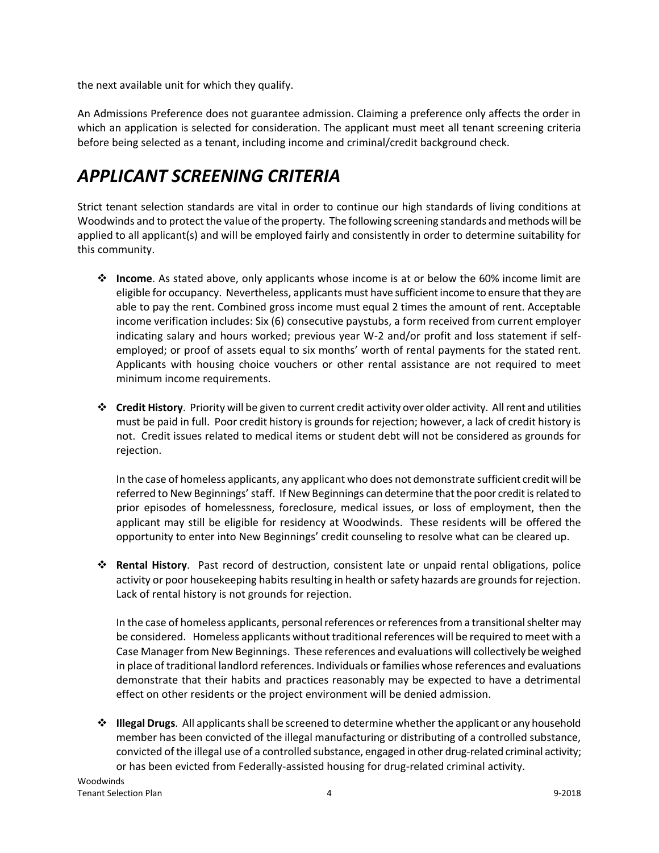the next available unit for which they qualify.

An Admissions Preference does not guarantee admission. Claiming a preference only affects the order in which an application is selected for consideration. The applicant must meet all tenant screening criteria before being selected as a tenant, including income and criminal/credit background check.

# *APPLICANT SCREENING CRITERIA*

Strict tenant selection standards are vital in order to continue our high standards of living conditions at Woodwinds and to protect the value of the property. The following screening standards and methods will be applied to all applicant(s) and will be employed fairly and consistently in order to determine suitability for this community.

- **Income**. As stated above, only applicants whose income is at or below the 60% income limit are eligible for occupancy. Nevertheless, applicants must have sufficient income to ensure that they are able to pay the rent. Combined gross income must equal 2 times the amount of rent. Acceptable income verification includes: Six (6) consecutive paystubs, a form received from current employer indicating salary and hours worked; previous year W-2 and/or profit and loss statement if selfemployed; or proof of assets equal to six months' worth of rental payments for the stated rent. Applicants with housing choice vouchers or other rental assistance are not required to meet minimum income requirements.
- **Credit History**. Priority will be given to current credit activity over older activity. All rent and utilities must be paid in full. Poor credit history is grounds for rejection; however, a lack of credit history is not. Credit issues related to medical items or student debt will not be considered as grounds for rejection.

In the case of homeless applicants, any applicant who does not demonstrate sufficient credit will be referred to New Beginnings' staff. If New Beginnings can determine that the poor credit is related to prior episodes of homelessness, foreclosure, medical issues, or loss of employment, then the applicant may still be eligible for residency at Woodwinds. These residents will be offered the opportunity to enter into New Beginnings' credit counseling to resolve what can be cleared up.

 **Rental History**. Past record of destruction, consistent late or unpaid rental obligations, police activity or poor housekeeping habits resulting in health or safety hazards are grounds for rejection. Lack of rental history is not grounds for rejection.

In the case of homeless applicants, personal references or references from a transitional shelter may be considered. Homeless applicants without traditional references will be required to meet with a Case Manager from New Beginnings. These references and evaluations will collectively be weighed in place of traditional landlord references. Individuals or families whose references and evaluations demonstrate that their habits and practices reasonably may be expected to have a detrimental effect on other residents or the project environment will be denied admission.

 **Illegal Drugs**. All applicants shall be screened to determine whether the applicant or any household member has been convicted of the illegal manufacturing or distributing of a controlled substance, convicted of the illegal use of a controlled substance, engaged in other drug-related criminal activity; or has been evicted from Federally-assisted housing for drug-related criminal activity.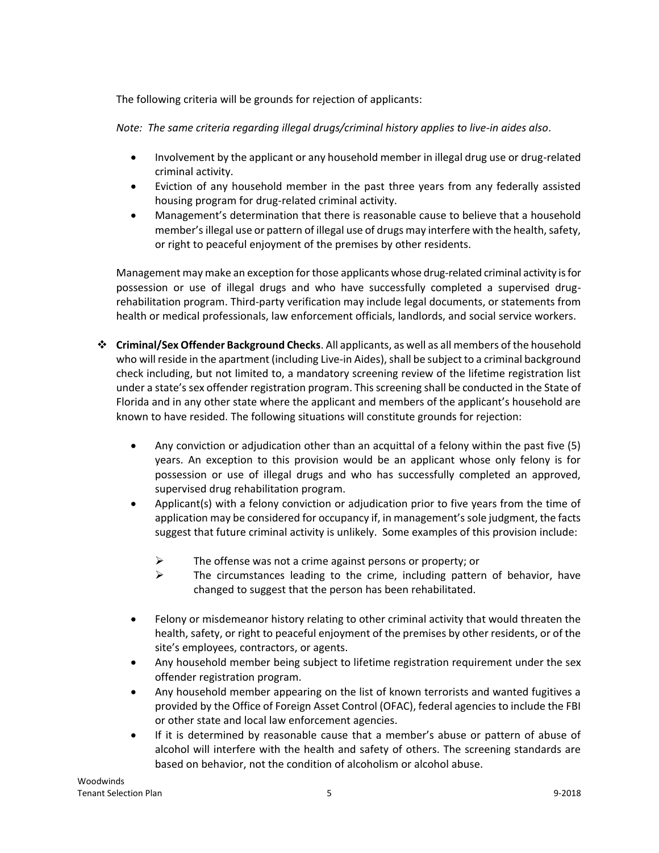The following criteria will be grounds for rejection of applicants:

*Note: The same criteria regarding illegal drugs/criminal history applies to live-in aides also*.

- Involvement by the applicant or any household member in illegal drug use or drug-related criminal activity.
- Eviction of any household member in the past three years from any federally assisted housing program for drug-related criminal activity.
- Management's determination that there is reasonable cause to believe that a household member's illegal use or pattern of illegal use of drugs may interfere with the health, safety, or right to peaceful enjoyment of the premises by other residents.

Management may make an exception for those applicants whose drug-related criminal activity is for possession or use of illegal drugs and who have successfully completed a supervised drugrehabilitation program. Third-party verification may include legal documents, or statements from health or medical professionals, law enforcement officials, landlords, and social service workers.

- **Criminal/Sex Offender Background Checks**. All applicants, as well as all members of the household who will reside in the apartment (including Live-in Aides), shall be subject to a criminal background check including, but not limited to, a mandatory screening review of the lifetime registration list under a state's sex offender registration program. This screening shall be conducted in the State of Florida and in any other state where the applicant and members of the applicant's household are known to have resided. The following situations will constitute grounds for rejection:
	- Any conviction or adjudication other than an acquittal of a felony within the past five (5) years. An exception to this provision would be an applicant whose only felony is for possession or use of illegal drugs and who has successfully completed an approved, supervised drug rehabilitation program.
	- Applicant(s) with a felony conviction or adjudication prior to five years from the time of application may be considered for occupancy if, in management's sole judgment, the facts suggest that future criminal activity is unlikely. Some examples of this provision include:
		- The offense was not a crime against persons or property; or
		- $\triangleright$  The circumstances leading to the crime, including pattern of behavior, have changed to suggest that the person has been rehabilitated.
	- Felony or misdemeanor history relating to other criminal activity that would threaten the health, safety, or right to peaceful enjoyment of the premises by other residents, or of the site's employees, contractors, or agents.
	- Any household member being subject to lifetime registration requirement under the sex offender registration program.
	- Any household member appearing on the list of known terrorists and wanted fugitives a provided by the Office of Foreign Asset Control (OFAC), federal agencies to include the FBI or other state and local law enforcement agencies.
	- If it is determined by reasonable cause that a member's abuse or pattern of abuse of alcohol will interfere with the health and safety of others. The screening standards are based on behavior, not the condition of alcoholism or alcohol abuse.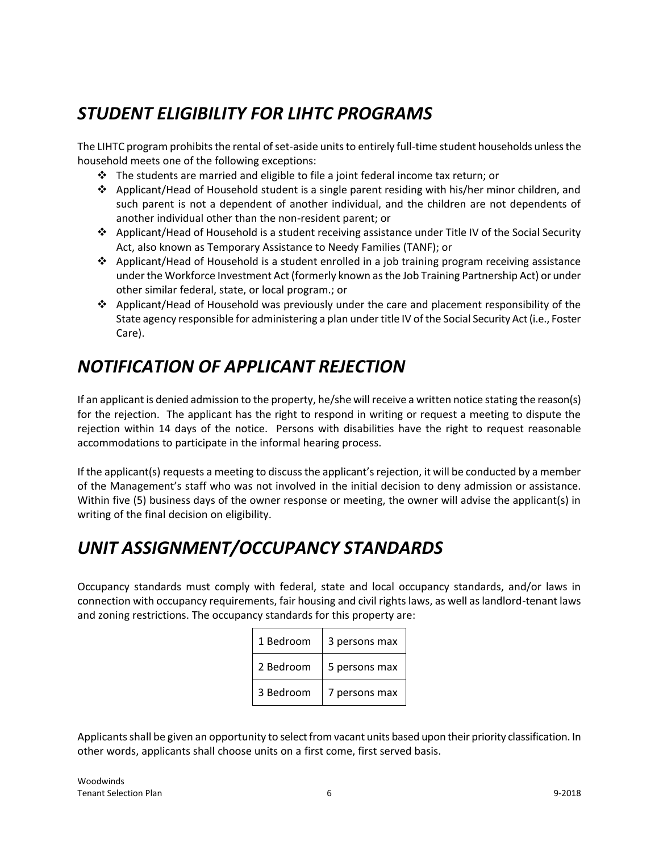# *STUDENT ELIGIBILITY FOR LIHTC PROGRAMS*

The LIHTC program prohibits the rental of set-aside units to entirely full-time student households unless the household meets one of the following exceptions:

- $\cdot \cdot$  The students are married and eligible to file a joint federal income tax return; or
- $\div$  Applicant/Head of Household student is a single parent residing with his/her minor children, and such parent is not a dependent of another individual, and the children are not dependents of another individual other than the non-resident parent; or
- Applicant/Head of Household is a student receiving assistance under Title IV of the Social Security Act, also known as Temporary Assistance to Needy Families (TANF); or
- Applicant/Head of Household is a student enrolled in a job training program receiving assistance under the Workforce Investment Act (formerly known as the Job Training Partnership Act) or under other similar federal, state, or local program.; or
- $\triangle$  Applicant/Head of Household was previously under the care and placement responsibility of the State agency responsible for administering a plan under title IV of the Social Security Act (i.e., Foster Care).

# *NOTIFICATION OF APPLICANT REJECTION*

If an applicant is denied admission to the property, he/she will receive a written notice stating the reason(s) for the rejection. The applicant has the right to respond in writing or request a meeting to dispute the rejection within 14 days of the notice. Persons with disabilities have the right to request reasonable accommodations to participate in the informal hearing process.

If the applicant(s) requests a meeting to discuss the applicant's rejection, it will be conducted by a member of the Management's staff who was not involved in the initial decision to deny admission or assistance. Within five (5) business days of the owner response or meeting, the owner will advise the applicant(s) in writing of the final decision on eligibility.

## *UNIT ASSIGNMENT/OCCUPANCY STANDARDS*

Occupancy standards must comply with federal, state and local occupancy standards, and/or laws in connection with occupancy requirements, fair housing and civil rights laws, as well as landlord-tenant laws and zoning restrictions. The occupancy standards for this property are:

| 1 Bedroom | 3 persons max |
|-----------|---------------|
| 2 Bedroom | 5 persons max |
| 3 Bedroom | 7 persons max |

Applicants shall be given an opportunity to select from vacant units based upon their priority classification. In other words, applicants shall choose units on a first come, first served basis.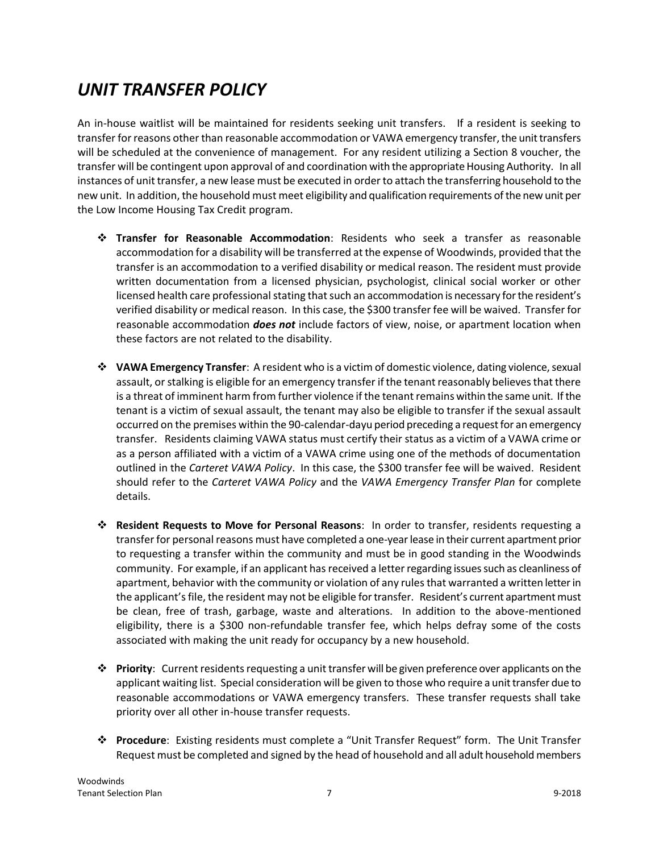## *UNIT TRANSFER POLICY*

An in-house waitlist will be maintained for residents seeking unit transfers. If a resident is seeking to transfer for reasons other than reasonable accommodation or VAWA emergency transfer, the unit transfers will be scheduled at the convenience of management. For any resident utilizing a Section 8 voucher, the transfer will be contingent upon approval of and coordination with the appropriate Housing Authority. In all instances of unit transfer, a new lease must be executed in order to attach the transferring household to the new unit. In addition, the household must meet eligibility and qualification requirements of the new unit per the Low Income Housing Tax Credit program.

- **Transfer for Reasonable Accommodation**: Residents who seek a transfer as reasonable accommodation for a disability will be transferred at the expense of Woodwinds, provided that the transfer is an accommodation to a verified disability or medical reason. The resident must provide written documentation from a licensed physician, psychologist, clinical social worker or other licensed health care professional stating that such an accommodation is necessary for the resident's verified disability or medical reason. In this case, the \$300 transfer fee will be waived. Transfer for reasonable accommodation *does not* include factors of view, noise, or apartment location when these factors are not related to the disability.
- **VAWA Emergency Transfer**: A resident who is a victim of domestic violence, dating violence, sexual assault, or stalking is eligible for an emergency transfer if the tenant reasonably believes that there is a threat of imminent harm from further violence if the tenant remains within the same unit. If the tenant is a victim of sexual assault, the tenant may also be eligible to transfer if the sexual assault occurred on the premises within the 90-calendar-dayu period preceding a request for an emergency transfer. Residents claiming VAWA status must certify their status as a victim of a VAWA crime or as a person affiliated with a victim of a VAWA crime using one of the methods of documentation outlined in the *Carteret VAWA Policy*. In this case, the \$300 transfer fee will be waived. Resident should refer to the *Carteret VAWA Policy* and the *VAWA Emergency Transfer Plan* for complete details.
- **Resident Requests to Move for Personal Reasons**: In order to transfer, residents requesting a transfer for personal reasons must have completed a one-year lease in their current apartment prior to requesting a transfer within the community and must be in good standing in the Woodwinds community. For example, if an applicant has received a letter regarding issues such as cleanliness of apartment, behavior with the community or violation of any rules that warranted a written letter in the applicant's file, the resident may not be eligible for transfer. Resident's current apartment must be clean, free of trash, garbage, waste and alterations. In addition to the above-mentioned eligibility, there is a \$300 non-refundable transfer fee, which helps defray some of the costs associated with making the unit ready for occupancy by a new household.
- **Priority**: Current residents requesting a unit transfer will be given preference over applicants on the applicant waiting list. Special consideration will be given to those who require a unit transfer due to reasonable accommodations or VAWA emergency transfers. These transfer requests shall take priority over all other in-house transfer requests.
- **Procedure**: Existing residents must complete a "Unit Transfer Request" form. The Unit Transfer Request must be completed and signed by the head of household and all adult household members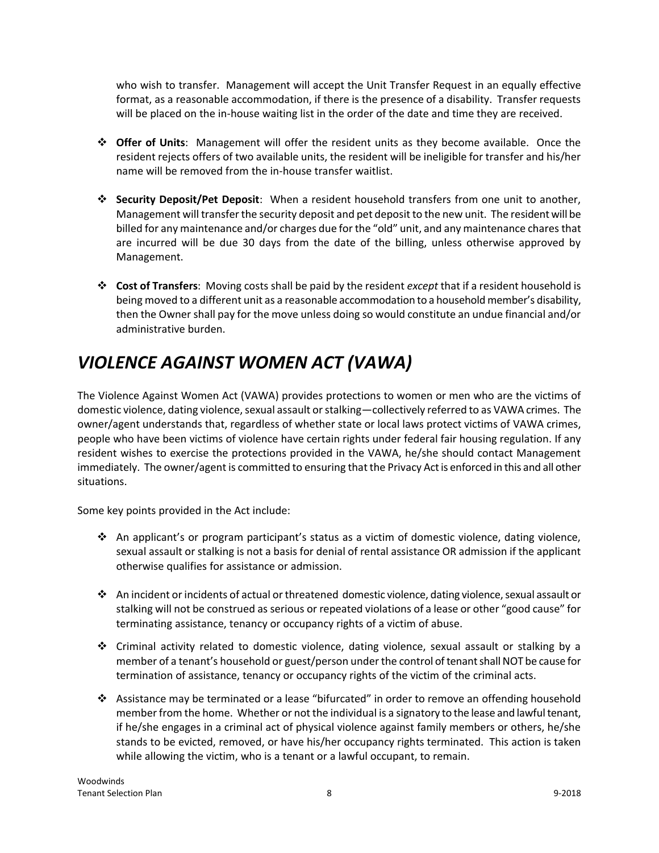who wish to transfer. Management will accept the Unit Transfer Request in an equally effective format, as a reasonable accommodation, if there is the presence of a disability. Transfer requests will be placed on the in-house waiting list in the order of the date and time they are received.

- **Offer of Units**: Management will offer the resident units as they become available. Once the resident rejects offers of two available units, the resident will be ineligible for transfer and his/her name will be removed from the in-house transfer waitlist.
- **Security Deposit/Pet Deposit**: When a resident household transfers from one unit to another, Management will transfer the security deposit and pet deposit to the new unit. The resident will be billed for any maintenance and/or charges due for the "old" unit, and any maintenance chares that are incurred will be due 30 days from the date of the billing, unless otherwise approved by Management.
- **Cost of Transfers**: Moving costs shall be paid by the resident *except* that if a resident household is being moved to a different unit as a reasonable accommodation to a household member's disability, then the Owner shall pay for the move unless doing so would constitute an undue financial and/or administrative burden.

# *VIOLENCE AGAINST WOMEN ACT (VAWA)*

The Violence Against Women Act (VAWA) provides protections to women or men who are the victims of domestic violence, dating violence, sexual assault or stalking—collectively referred to as VAWA crimes. The owner/agent understands that, regardless of whether state or local laws protect victims of VAWA crimes, people who have been victims of violence have certain rights under federal fair housing regulation. If any resident wishes to exercise the protections provided in the VAWA, he/she should contact Management immediately. The owner/agent is committed to ensuring that the Privacy Act is enforced in this and all other situations.

Some key points provided in the Act include:

- An applicant's or program participant's status as a victim of domestic violence, dating violence, sexual assault or stalking is not a basis for denial of rental assistance OR admission if the applicant otherwise qualifies for assistance or admission.
- An incident or incidents of actual or threatened domestic violence, dating violence, sexual assault or stalking will not be construed as serious or repeated violations of a lease or other "good cause" for terminating assistance, tenancy or occupancy rights of a victim of abuse.
- Criminal activity related to domestic violence, dating violence, sexual assault or stalking by a member of a tenant's household or guest/person under the control of tenant shall NOT be cause for termination of assistance, tenancy or occupancy rights of the victim of the criminal acts.
- Assistance may be terminated or a lease "bifurcated" in order to remove an offending household member from the home. Whether or not the individual is a signatory to the lease and lawful tenant, if he/she engages in a criminal act of physical violence against family members or others, he/she stands to be evicted, removed, or have his/her occupancy rights terminated. This action is taken while allowing the victim, who is a tenant or a lawful occupant, to remain.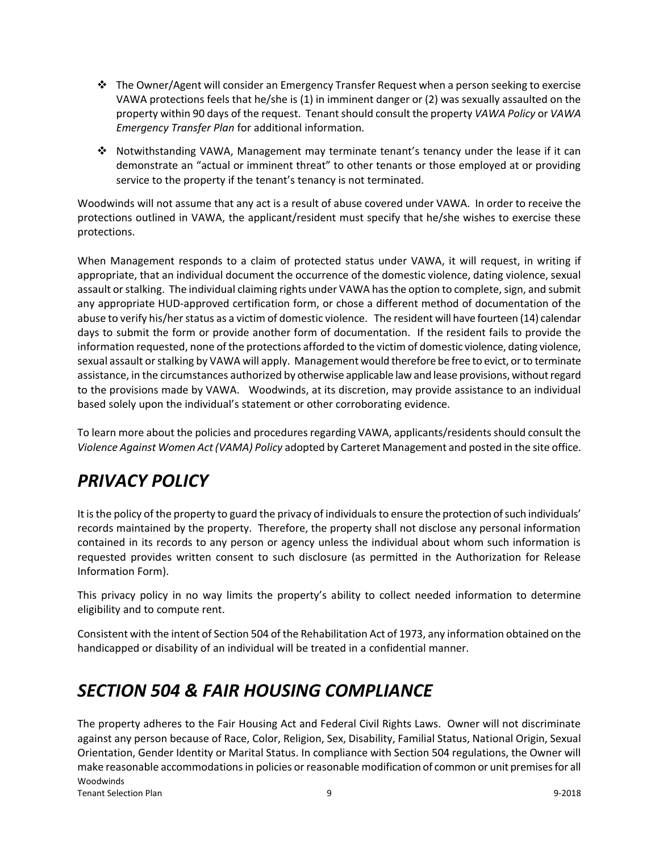- $\div$  The Owner/Agent will consider an Emergency Transfer Request when a person seeking to exercise VAWA protections feels that he/she is (1) in imminent danger or (2) was sexually assaulted on the property within 90 days of the request. Tenant should consult the property *VAWA Policy* or *VAWA Emergency Transfer Plan* for additional information.
- Notwithstanding VAWA, Management may terminate tenant's tenancy under the lease if it can demonstrate an "actual or imminent threat" to other tenants or those employed at or providing service to the property if the tenant's tenancy is not terminated.

Woodwinds will not assume that any act is a result of abuse covered under VAWA. In order to receive the protections outlined in VAWA, the applicant/resident must specify that he/she wishes to exercise these protections.

When Management responds to a claim of protected status under VAWA, it will request, in writing if appropriate, that an individual document the occurrence of the domestic violence, dating violence, sexual assault or stalking. The individual claiming rights under VAWA has the option to complete, sign, and submit any appropriate HUD-approved certification form, or chose a different method of documentation of the abuse to verify his/her status as a victim of domestic violence. The resident will have fourteen (14) calendar days to submit the form or provide another form of documentation. If the resident fails to provide the information requested, none of the protections afforded to the victim of domestic violence, dating violence, sexual assault or stalking by VAWA will apply. Management would therefore be free to evict, or to terminate assistance, in the circumstances authorized by otherwise applicable law and lease provisions, without regard to the provisions made by VAWA. Woodwinds, at its discretion, may provide assistance to an individual based solely upon the individual's statement or other corroborating evidence.

To learn more about the policies and procedures regarding VAWA, applicants/residents should consult the *Violence Against Women Act (VAMA) Policy* adopted by Carteret Management and posted in the site office.

## *PRIVACY POLICY*

It is the policy of the property to guard the privacy of individuals to ensure the protection of such individuals' records maintained by the property. Therefore, the property shall not disclose any personal information contained in its records to any person or agency unless the individual about whom such information is requested provides written consent to such disclosure (as permitted in the Authorization for Release Information Form).

This privacy policy in no way limits the property's ability to collect needed information to determine eligibility and to compute rent.

Consistent with the intent of Section 504 of the Rehabilitation Act of 1973, any information obtained on the handicapped or disability of an individual will be treated in a confidential manner.

#### *SECTION 504 & FAIR HOUSING COMPLIANCE*

Woodwinds Tenant Selection Plan 9 9-2018 The property adheres to the Fair Housing Act and Federal Civil Rights Laws. Owner will not discriminate against any person because of Race, Color, Religion, Sex, Disability, Familial Status, National Origin, Sexual Orientation, Gender Identity or Marital Status. In compliance with Section 504 regulations, the Owner will make reasonable accommodations in policies or reasonable modification of common or unit premises for all